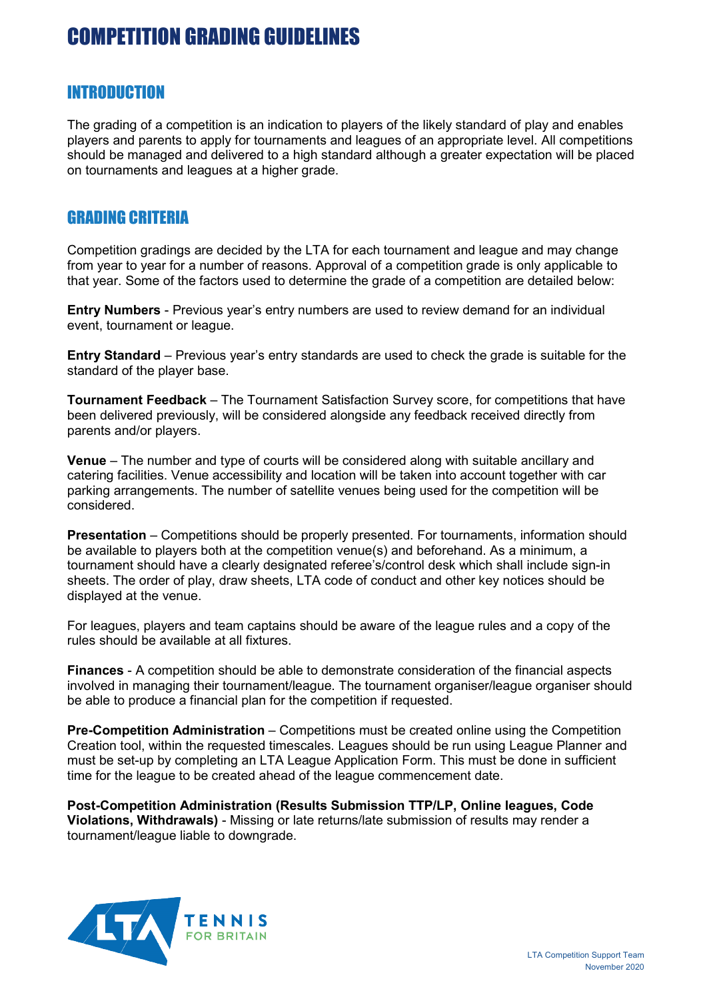### INTRODUCTION

The grading of a competition is an indication to players of the likely standard of play and enables players and parents to apply for tournaments and leagues of an appropriate level. All competitions should be managed and delivered to a high standard although a greater expectation will be placed on tournaments and leagues at a higher grade.

### GRADING CRITERIA

Competition gradings are decided by the LTA for each tournament and league and may change from year to year for a number of reasons. Approval of a competition grade is only applicable to that year. Some of the factors used to determine the grade of a competition are detailed below:

**Entry Numbers** - Previous year's entry numbers are used to review demand for an individual event, tournament or league.

**Entry Standard** – Previous year's entry standards are used to check the grade is suitable for the standard of the player base.

**Tournament Feedback** – The Tournament Satisfaction Survey score, for competitions that have been delivered previously, will be considered alongside any feedback received directly from parents and/or players.

**Venue** – The number and type of courts will be considered along with suitable ancillary and catering facilities. Venue accessibility and location will be taken into account together with car parking arrangements. The number of satellite venues being used for the competition will be considered.

**Presentation** – Competitions should be properly presented. For tournaments, information should be available to players both at the competition venue(s) and beforehand. As a minimum, a tournament should have a clearly designated referee's/control desk which shall include sign-in sheets. The order of play, draw sheets, LTA code of conduct and other key notices should be displayed at the venue.

For leagues, players and team captains should be aware of the league rules and a copy of the rules should be available at all fixtures.

**Finances** - A competition should be able to demonstrate consideration of the financial aspects involved in managing their tournament/league. The tournament organiser/league organiser should be able to produce a financial plan for the competition if requested.

**Pre-Competition Administration** – Competitions must be created online using the Competition Creation tool, within the requested timescales. Leagues should be run using League Planner and must be set-up by completing an LTA League Application Form. This must be done in sufficient time for the league to be created ahead of the league commencement date.

**Post-Competition Administration (Results Submission TTP/LP, Online leagues, Code Violations, Withdrawals)** - Missing or late returns/late submission of results may render a tournament/league liable to downgrade.

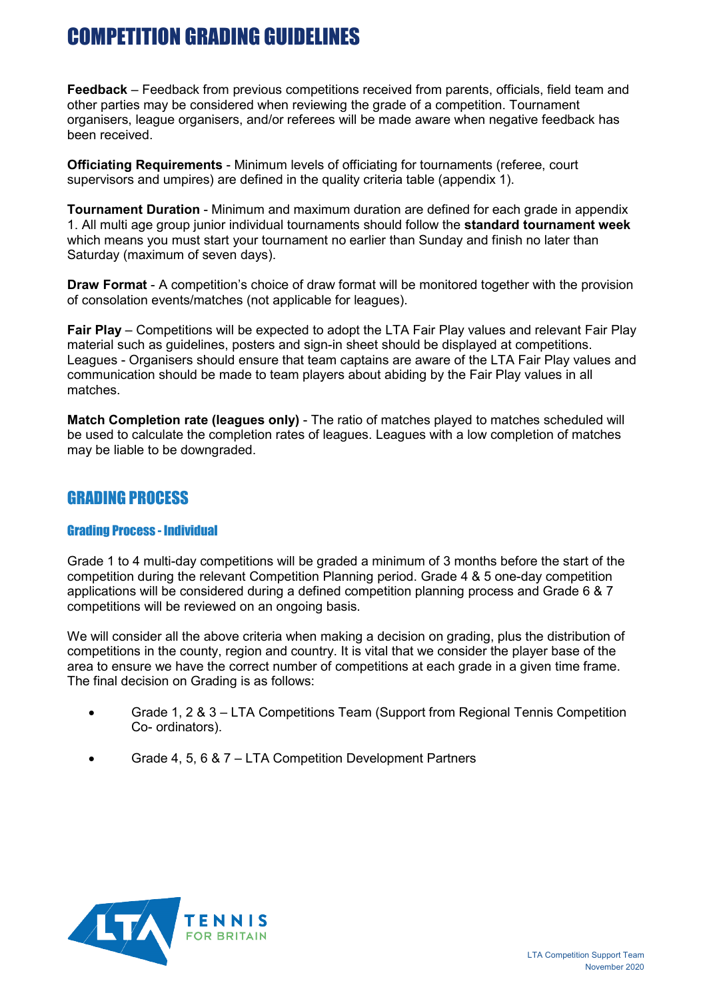**Feedback** – Feedback from previous competitions received from parents, officials, field team and other parties may be considered when reviewing the grade of a competition. Tournament organisers, league organisers, and/or referees will be made aware when negative feedback has been received.

**Officiating Requirements** - Minimum levels of officiating for tournaments (referee, court supervisors and umpires) are defined in the quality criteria table (appendix 1).

**Tournament Duration** - Minimum and maximum duration are defined for each grade in appendix 1. All multi age group junior individual tournaments should follow the **standard tournament week** which means you must start your tournament no earlier than Sunday and finish no later than Saturday (maximum of seven days).

**Draw Format** - A competition's choice of draw format will be monitored together with the provision of consolation events/matches (not applicable for leagues).

**Fair Play** – Competitions will be expected to adopt the LTA Fair Play values and relevant Fair Play material such as guidelines, posters and sign-in sheet should be displayed at competitions. Leagues - Organisers should ensure that team captains are aware of the LTA Fair Play values and communication should be made to team players about abiding by the Fair Play values in all matches.

**Match Completion rate (leagues only)** - The ratio of matches played to matches scheduled will be used to calculate the completion rates of leagues. Leagues with a low completion of matches may be liable to be downgraded.

### GRADING PROCESS

#### Grading Process - Individual

Grade 1 to 4 multi-day competitions will be graded a minimum of 3 months before the start of the competition during the relevant Competition Planning period. Grade 4 & 5 one-day competition applications will be considered during a defined competition planning process and Grade 6 & 7 competitions will be reviewed on an ongoing basis.

We will consider all the above criteria when making a decision on grading, plus the distribution of competitions in the county, region and country. It is vital that we consider the player base of the area to ensure we have the correct number of competitions at each grade in a given time frame. The final decision on Grading is as follows:

- Grade 1, 2 & 3 LTA Competitions Team (Support from Regional Tennis Competition Co- ordinators).
- Grade 4, 5, 6 & 7 LTA Competition Development Partners

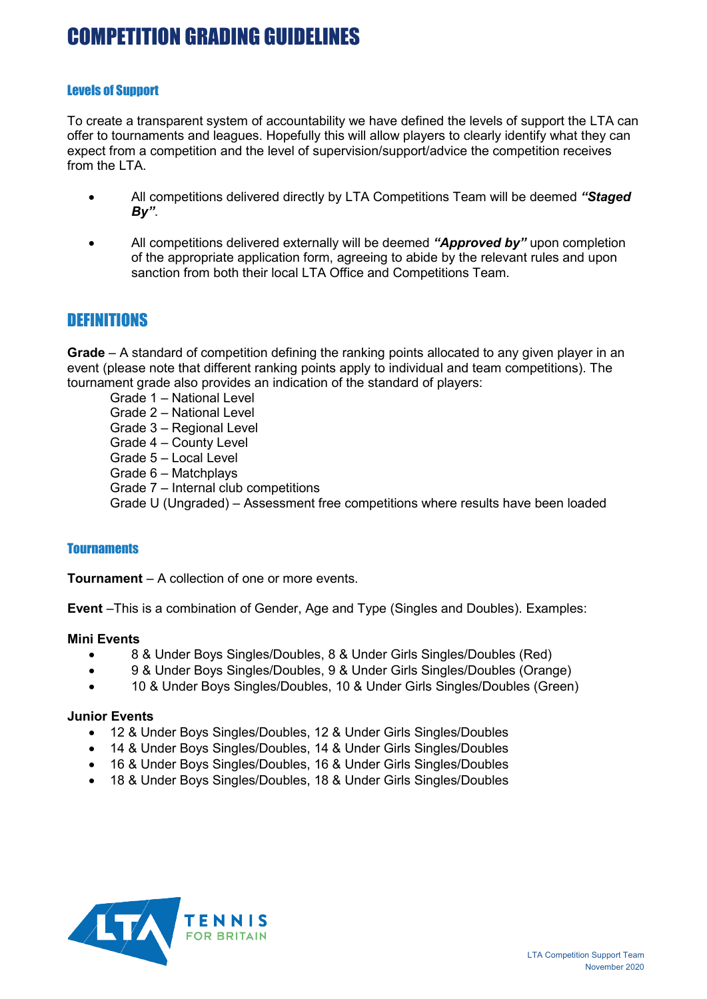#### Levels of Support

To create a transparent system of accountability we have defined the levels of support the LTA can offer to tournaments and leagues. Hopefully this will allow players to clearly identify what they can expect from a competition and the level of supervision/support/advice the competition receives from the I TA

- All competitions delivered directly by LTA Competitions Team will be deemed *"Staged By"*.
- All competitions delivered externally will be deemed *"Approved by"* upon completion of the appropriate application form, agreeing to abide by the relevant rules and upon sanction from both their local LTA Office and Competitions Team.

### **DEFINITIONS**

**Grade** – A standard of competition defining the ranking points allocated to any given player in an event (please note that different ranking points apply to individual and team competitions). The tournament grade also provides an indication of the standard of players:

Grade 1 – National Level Grade 2 – National Level Grade 3 – Regional Level Grade 4 – County Level Grade 5 – Local Level Grade 6 – Matchplays Grade 7 – Internal club competitions

Grade U (Ungraded) – Assessment free competitions where results have been loaded

#### **Tournaments**

**Tournament** – A collection of one or more events.

**Event** –This is a combination of Gender, Age and Type (Singles and Doubles). Examples:

#### **Mini Events**

- 8 & Under Boys Singles/Doubles, 8 & Under Girls Singles/Doubles (Red)
- 9 & Under Boys Singles/Doubles, 9 & Under Girls Singles/Doubles (Orange)
- 10 & Under Boys Singles/Doubles, 10 & Under Girls Singles/Doubles (Green)

#### **Junior Events**

- 12 & Under Boys Singles/Doubles, 12 & Under Girls Singles/Doubles
- 14 & Under Boys Singles/Doubles, 14 & Under Girls Singles/Doubles
- 16 & Under Boys Singles/Doubles, 16 & Under Girls Singles/Doubles
- 18 & Under Boys Singles/Doubles, 18 & Under Girls Singles/Doubles

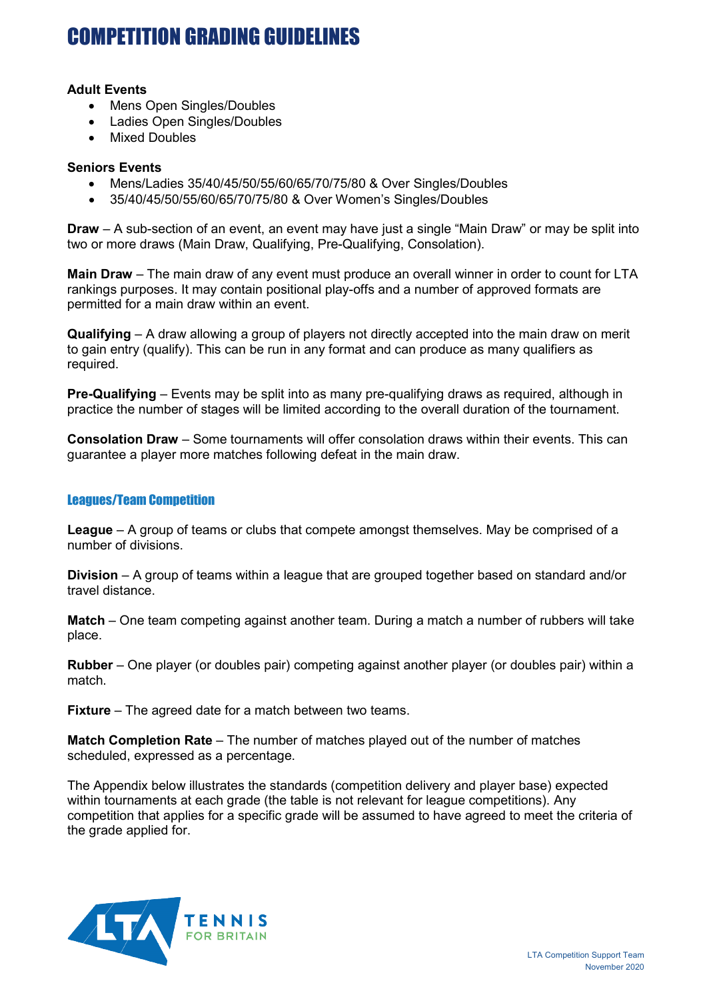#### **Adult Events**

- Mens Open Singles/Doubles
- Ladies Open Singles/Doubles
- Mixed Doubles

#### **Seniors Events**

- Mens/Ladies 35/40/45/50/55/60/65/70/75/80 & Over Singles/Doubles
- 35/40/45/50/55/60/65/70/75/80 & Over Women's Singles/Doubles

**Draw** – A sub-section of an event, an event may have just a single "Main Draw" or may be split into two or more draws (Main Draw, Qualifying, Pre-Qualifying, Consolation).

**Main Draw** – The main draw of any event must produce an overall winner in order to count for LTA rankings purposes. It may contain positional play-offs and a number of approved formats are permitted for a main draw within an event.

**Qualifying** – A draw allowing a group of players not directly accepted into the main draw on merit to gain entry (qualify). This can be run in any format and can produce as many qualifiers as required.

**Pre-Qualifying** – Events may be split into as many pre-qualifying draws as required, although in practice the number of stages will be limited according to the overall duration of the tournament.

**Consolation Draw** – Some tournaments will offer consolation draws within their events. This can guarantee a player more matches following defeat in the main draw.

#### Leagues/Team Competition

**League** – A group of teams or clubs that compete amongst themselves. May be comprised of a number of divisions.

**Division** – A group of teams within a league that are grouped together based on standard and/or travel distance.

**Match** – One team competing against another team. During a match a number of rubbers will take place.

**Rubber** – One player (or doubles pair) competing against another player (or doubles pair) within a match.

**Fixture** – The agreed date for a match between two teams.

**Match Completion Rate** – The number of matches played out of the number of matches scheduled, expressed as a percentage.

The Appendix below illustrates the standards (competition delivery and player base) expected within tournaments at each grade (the table is not relevant for league competitions). Any competition that applies for a specific grade will be assumed to have agreed to meet the criteria of the grade applied for.